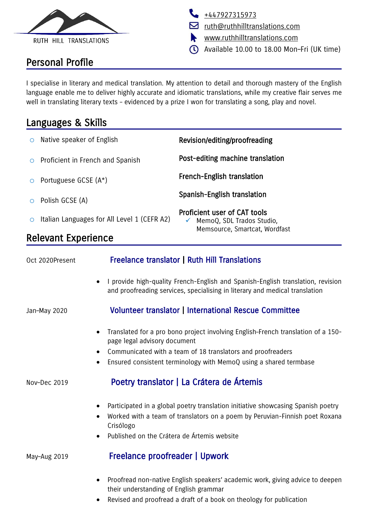

 $+447927315973$ 

- $\boxdot$  [ruth@ruthhilltranslations.com](mailto:ruth@ruthhilltranslations.com)
- RUTH HILL TRANSLATIONS **EXECUTE A RUTH HILL TRANSLATIONS** 
	- Available 10.00 to 18.00 Mon–Fri (UK time)

## Personal Profile

I specialise in literary and medical translation. My attention to detail and thorough mastery of the English language enable me to deliver highly accurate and idiomatic translations, while my creative flair serves me well in translating literary texts - evidenced by a prize I won for translating a song, play and novel.

## Languages & Skills

| $\circ$    | Native speaker of English                   | Revision/editing/proofreading                                                                   |  |  |
|------------|---------------------------------------------|-------------------------------------------------------------------------------------------------|--|--|
| $\circ$    | Proficient in French and Spanish            | Post-editing machine translation                                                                |  |  |
|            | Portuguese GCSE (A*)                        | French-English translation                                                                      |  |  |
| $\Omega$   | Polish GCSE (A)                             | Spanish-English translation                                                                     |  |  |
| $\bigcirc$ | Italian Languages for All Level 1 (CEFR A2) | Proficient user of CAT tools<br>MemoQ, SDL Trados Studio,<br>✓<br>Memsource, Smartcat, Wordfast |  |  |
|            |                                             |                                                                                                 |  |  |

## Relevant Experience

| Oct 2020Present | Freelance translator   Ruth Hill Translations                                                                                                                  |
|-----------------|----------------------------------------------------------------------------------------------------------------------------------------------------------------|
|                 | I provide high-quality French-English and Spanish-English translation, revision<br>and proofreading services, specialising in literary and medical translation |
| Jan-May 2020    | Volunteer translator   International Rescue Committee                                                                                                          |
|                 | Translated for a pro bono project involving English-French translation of a 150-<br>page legal advisory document                                               |
|                 | Communicated with a team of 18 translators and proofreaders<br>$\bullet$                                                                                       |
|                 | Ensured consistent terminology with MemoQ using a shared termbase<br>$\bullet$                                                                                 |
| Nov-Dec 2019    | Poetry translator   La Crátera de Ártemis                                                                                                                      |
|                 | Participated in a global poetry translation initiative showcasing Spanish poetry                                                                               |
|                 | Worked with a team of translators on a poem by Peruvian-Finnish poet Roxana<br>Crisólogo                                                                       |
|                 | Published on the Crátera de Ártemis website                                                                                                                    |
| May-Aug 2019    | Freelance proofreader   Upwork                                                                                                                                 |
|                 | Proofread non-native English speakers' academic work, giving advice to deepen<br>$\bullet$<br>their understanding of English grammar                           |

• Revised and proofread a draft of a book on theology for publication